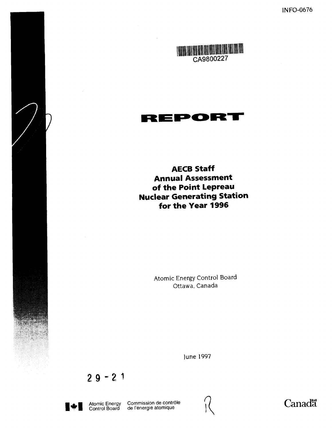INFO-0676



### EPORT RI

**AECB Staff Annual Assessment of the Point Lepreau Nuclear Generating Station for the Year 1996**

> Atomic Energy Control Board Ottawa, Canada

> > ]une 1997

 $29 - 21$ 



Commission de controle de I'energie atomique Canada

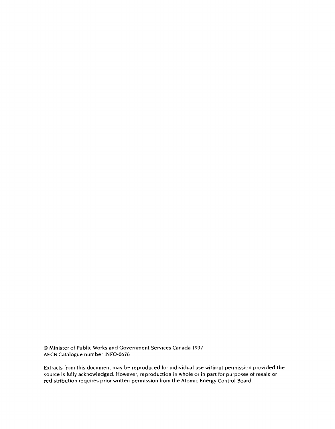© Minister of Public Works and Government Services Canada 1997 AECB Catalogue number 1NFO-0676

Extracts from this document may be reproduced for individual use without permission provided the source is fully acknowledged. However, reproduction in whole or in part for purposes of resale or redistribution requires prior written permission from the Atomic Energy Control Board.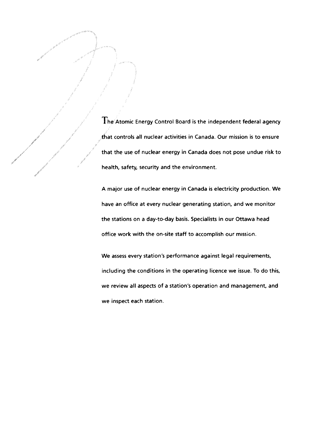$The$  Atomic Energy Control Board is the independent federal agency that controls all nuclear activities in Canada. Our mission is to ensure that the use of nuclear energy in Canada does not pose undue risk to health, safety, security and the environment.

A major use of nuclear energy in Canada is electricity production. We have an office at every nuclear generating station, and we monitor the stations on a day-to-day basis. Specialists in our Ottawa head office work with the on-site staff to accomplish our mission.

We assess every station's performance against legal requirements, including the conditions in the operating licence we issue. To do this, we review all aspects of a station's operation and management, and we inspect each station.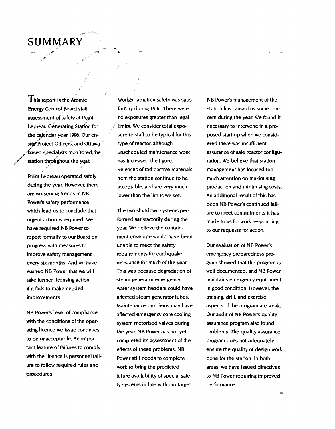## **SUMMARY**

 $1$  his report is the Atomic Energy Control Board staff assessment of safety at Point Lepreau Generating Station for the calendar year 1996. Our onsite Project Officers, and Ottawabased specialists monitored the station throughout the year.

Point Lepreau operated safely during the year. However, there are worsening trends in NB Power's safety performance which lead us to conclude that urgent action is required. We have required NB Power to report formally to our Board on progress with measures to improve safety management every six months. And we have warned NB Power that we will take further licensing action if it fails to make needed improvements.

NB Power's level of compliance with the conditions of the operating licence we issue continues to be unacceptable. An important feature of failures to comply with the licence is personnel failure to follow required rules and procedures.

Worker radiation safety was satisfactory during 1996. There were no exposures greater than legal limits. We consider total exposure to staff to be typical for this type of reactor, although unscheduled maintenance work has increased the figure. Releases of radioactive materials from the station continue to be acceptable, and are very much lower than the limits we set.

The two shutdown systems performed satisfactorily during the year. We believe the containment envelope would have been unable to meet the safety requirements for earthquake resistance for much of the year. This was because degradation of steam generator emergency water system headers could have affected steam generator tubes. Maintenance problems may have affected emergency core cooling system motorised valves during the year. NB Power has not yet completed its assessment of the effects of these problems. NB Power still needs to complete work to bring the predicted future availability of special safety systems in line with our target.

NB Power's management of the station has caused us some concern during the year. We found it necessary to intervene in a proposed start up when we considered there was insufficient assurance of safe reactor configuration. We believe that station management has focused too much attention on maximising production and minimising costs. An additional result of this has been NB Power's continued failure to meet commitments it has made to us for work responding to our requests for action.

Our evaluation of NB Power's emergency preparedness program showed that the program is well documented, and NB Power maintains emergency equipment in good condition. However, the training, drill, and exercise aspects of the program are weak. Our audit of NB Power's quality assurance program also found problems. The quality assurance program does not adequately ensure the quality of design work done for the station. In both areas, we have issued directives to NB Power requiring improved performance.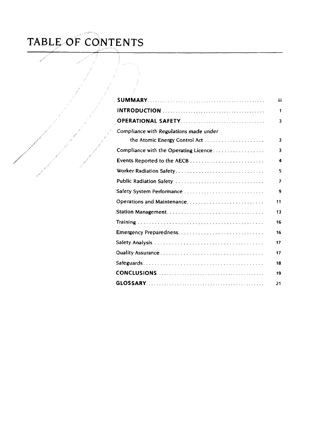# **TABLE OF CONTENTS**

|                                        | iii |
|----------------------------------------|-----|
|                                        | 1   |
| OPERATIONAL SAFETY                     | 3   |
| Compliance with Regulations made under |     |
| the Atomic Energy Control Act          | 3   |
| Compliance with the Operating Licence  | 3   |
| Events Reported to the AECB            | 4   |
| Worker Radiation Safety                | 5   |
| Public Radiation Safety                | 7   |
|                                        | 9   |
|                                        | 11  |
|                                        | 13  |
|                                        | 16  |
|                                        | 16  |
|                                        | 17  |
|                                        | 17  |
|                                        | 18  |
|                                        | 19  |
|                                        | 21  |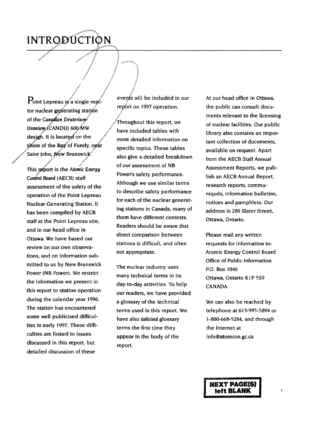## **INTRODUCTION**

 $P_{\text{oint Lepreau is a single rea<sub>c</sub>}.$ tor nuclear generating station of the Canadian Deuteriumof the *Canadian Deuterium'* / ) 60Q'MW / */* design. It is located on the *J* ore of the Bay of Fundy, near Saint John, New Brunswick.

/ /

This report is the Atomic Energy *Control Board* (AECB) staff assessment of the safety of the operation of the Point Lepreau Nuclear Generating Station. It has been compiled by AECB staff at the Point Lepreau site, and in our head office in Ottawa. We have based our review on our own observations, and on information submitted to us by New Brunswick Power (NB Power). We restrict the information we present in this report to station operation during the calendar year 1996. The station has encountered some well publicised difficulties in early 1997. These difficulties are linked to issues discussed in this report, but detailed discussion of these

events will be included in our report on 1997 operation.

.;v'

/Throughout this report, we have included tables with more detailed information on specific topics. These tables also give a detailed breakdown of our assessment of NB Power's safety performance. Although we use similar terms to describe safety performance for each of the nuclear generating stations in Canada, many of them have different contexts. Readers should be aware that direct comparison between stations is difficult, and often not appropriate.

The nuclear industry uses many technical terms in its day-to-day activities. To help our readers, we have provided a glossary of the technical terms used in this report. We have also *italicised* glossary terms the first time they appear in the body of the report.

At our head office in Ottawa, the public can consult documents relevant to the licensing of nuclear facilities. Our public library also contains an important collection of documents, available on request. Apart from the AECB Staff Annual Assessment Reports, we publish an AECB Annual Report, research reports, communiques, information bulletins, notices and pamphlets. Our address is 280 Slater Street, Ottawa, Ontario.

Please mail any written requests for information to: Atomic Energy Control Board Office of Public Information P.O. Box 1046 Ottawa, Ontario KIP 5S9 CANADA

We can also be reached by telephone at 613-995-5894 or 1-800-668-5284, and through the Internet at info@atomcon.gc.ca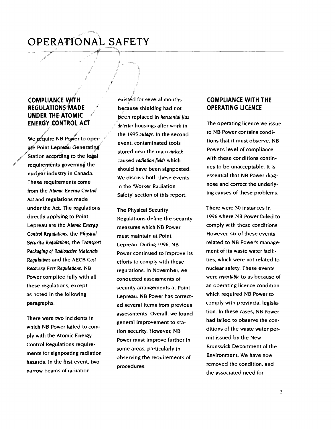## OPERATIONAL SAFETY

## **COMPLIANCE WITH REGULATIONS MADE UNDER THf ATOMIC ENERGY CONTROL ACT**

We require NB Power to operate Point Lepreau Generating Station according to the legal requirements governing the nuclear industry in Canada. These requirements come from the Atomic Energy Control Act and regulations made under the Act. The regulations directly applying to Point Lepreau are the Atomic Energy Control Regulations, the Physical Security Regulations, the Transport Packaging of Radioactive Materials Regulations and the AECB Cost Recovery Fees Regulations. N B Power complied fully with all these regulations, except as noted in the following paragraphs.

There were two incidents in which NB Power failed to comply with the Atomic Energy Control Regulations requirements for signposting radiation hazards. In the first event, two narrow beams of radiation

existed for several months because shielding had not been replaced in horizontal flux detector housings after work in the 1995 outage. In the second event, contaminated tools stored near the main airlock caused radiation fields which should have been signposted. We discuss both these events in the 'Worker Radiation Safety' section of this report.

The Physical Security Regulations define the security measures which NB Power must maintain at Point Lepreau. During 1996, NB Power continued to improve its efforts to comply with these regulations. In November, we conducted assessments of security arrangements at Point Lepreau. NB Power has corrected several items from previous assessments. Overall, we found general improvement to station security. However, NB Power must improve further in some areas, particularly in observing the requirements of procedures.

## **COMPLIANCE WITH THE OPERATING LICENCE**

The operating licence we issue to NB Power contains conditions that it must observe. NB Power's level of compliance with these conditions continues to be unacceptable. It is essential that NB Power diagnose and correct the underlying causes of these problems.

There were 30 instances in 1996 where NB Power failed to comply with these conditions. However, six of these events related to NB Power's management of its waste water facilities, which were not related to nuclear safety. These events were reportable to us because of an operating licence condition which required NB Power to comply with provincial legislation. In these cases, NB Power had failed to observe the conditions of the waste water permit issued by the New Brunswick Department of the Environment. We have now removed the condition, and the associated need for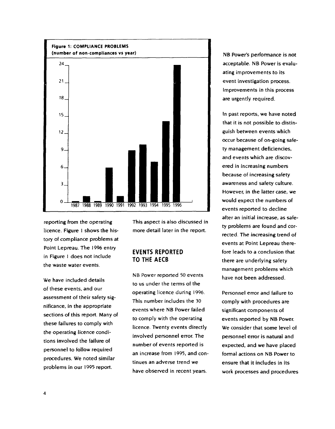

reporting from the operating licence. Figure I shows the history of compliance problems at Point Lepreau. The 1996 entry in Figure I does not include the waste water events.

We have included details of these events, and our assessment of their safety significance, in the appropriate sections of this report. Many of these failures to comply with the operating licence conditions involved the failure of personnel to follow required procedures. We noted similar problems in our 1995 report.

This aspect is also discussed in more detail later in the report.

## **EVENTS REPORTED TO THE AECB**

NB Power reported 50 events to us under the terms of the operating licence during 1996. This number includes the 30 events where NB Power failed to comply with the operating licence. Twenty events directly involved personnel error. The number of events reported is an increase from 1995, and continues an adverse trend we have observed in recent years.

NB Power's performance is not acceptable. NB Power is evaluating improvements to its event investigation process. Improvements in this process are urgently required.

In past reports, we have noted that it is not possible to distinguish between events which occur because of on-going safety management deficiencies, and events which are discovered in increasing numbers because of increasing safety awareness and safety culture. However, in the latter case, we would expect the numbers of events reported to decline after an initial increase, as safety problems are found and corrected. The increasing trend of events at Point Lepreau therefore leads to a conclusion that there are underlying safety management problems which have not been addressed.

Personnel error and failure to comply with procedures are significant components of events reported by NB Power. We consider that some level of personnel error is natural and expected, and we have placed formal actions on NB Power to ensure that it includes in its work processes and procedures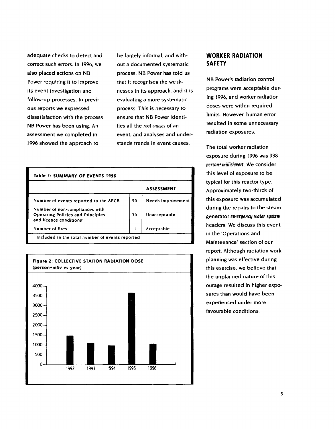adequate checks to detect and correct such errors. In 1996, we also placed actions on NB Power requiring it to improve its event investigation and follow-up processes. In previous reports we expressed dissatisfaction with the process NB Power has been using. An assessment we completed in 1996 showed the approach to

be largely informal, and without a documented systematic process. NB Power has told us that it recognises the weaknesses in its approach, and it is evaluating a more systematic process. This is necessary to ensure that NB Power identifies all the root causes of an event, and analyses and understands trends in event causes.

| Table 1: SUMMARY OF EVENTS 1996                                                                                   |    |                   |
|-------------------------------------------------------------------------------------------------------------------|----|-------------------|
|                                                                                                                   |    | <b>ASSESSMENT</b> |
| Number of events reported to the AECB                                                                             | 50 | Needs improvement |
| Number of non-compliances with<br><b>Operating Policies and Principles</b><br>and licence conditions <sup>1</sup> | 30 | Unacceptable      |
| Number of fires                                                                                                   |    | Acceptable        |
| Included in the total number of events reported                                                                   |    |                   |



## **WORKER RADIATION SAFETY**

NB Power's radiation control programs were acceptable during 1996, and worker radiation doses were within required limits. However, human error resulted in some unnecessary radiation exposures.

The total worker radiation exposure during 1996 was 938 person\*millisievert. We consider this level of exposure to be typical for this reactor type. Approximately two-thirds of this exposure was accumulated during the repairs to the steam generator emergency water system headers. We discuss this event in the 'Operations and Maintenance' section of our report. Although radiation work planning was effective during this exercise, we believe that the unplanned nature of this outage resulted in higher exposures than would have been experienced under more favourable conditions.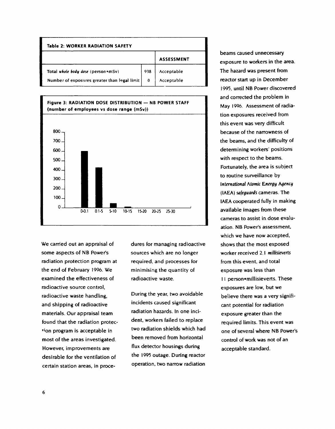| Table 2: WORKER RADIATION SAFETY             |     |                   |
|----------------------------------------------|-----|-------------------|
|                                              |     | <b>ASSESSMENT</b> |
| Total whole body dose (person · mSv)         | 938 | Acceptable        |
| Number of exposures greater than legal limit | 0   | Acceptable        |



We carried out an appraisal of some aspects of NB Power's radiation protection program at the end of February 1996. We examined the effectiveness of radioactive source control, radioactive waste handling, and shipping of radioactive materials. Our appraisal team found that the radiation protection program is acceptable in most of the areas investigated. However, improvements are desirable for the ventilation of certain station areas, in procedures for managing radioactive sources which are no longer required, and processes for minimising the quantity of radioactive waste.

During the year, two avoidable incidents caused significant radiation hazards. In one incident, workers failed to replace two radiation shields which had been removed from horizontal flux detector housings during the 1995 outage. During reactor operation, two narrow radiation

beams caused unnecessary exposure to workers in the area. The hazard was present from reactor start up in December 1995, until NB Power discovered and corrected the problem in May 1996. Assessment of radiation exposures received from this event was very difficult because of the narrowness of the beams, and the difficulty of determining workers' positions with respect to the beams. Fortunately, the area is subject to routine surveillance by International Atomic Energy Agency (IAEA) safeguards cameras. The IAEA cooperated fully in making available images from these cameras to assist in dose evaluation. NB Power's assessment, which we have now accepted, shows that the most exposed worker received 2.1 millisieverts from this event, and total exposure was less than 11 person»millisieverts. These exposures are low, but we believe there was a very significant potential for radiation exposure greater than the required limits. This event was one of several where NB Power's control of work was not of an acceptable standard.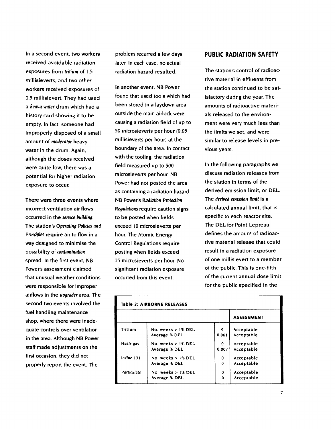In a second event, two workers received avoidable radiation exposures from tritium of 1.5 millisieverts, and two other workers received exposures of 0.5 millisievert. They had used a heavy water drum which had a history card showing it to be empty. In fact, someone had improperly disposed of a small amount of moderator heavy water in the drum. Again, although the doses received were quite low, there was a potential for higher radiation exposure to occur.

There were three events where incorrect ventilation air flows occurred in the service building. The station's Operating Policies and Principles require air to flow in a way designed to minimise the possibility of contamination spread. In the first event, NB Power's assessment claimed that unusual weather conditions were responsible for improper airflows in the *uparader* area. The second two events involved the fuel handling maintenance shop, where there were inadequate controls over ventilation in the area. Although NB Power staff made adjustments on the first occasion, they did not properly report the event. The

problem recurred a few days later. In each case, no actual radiation hazard resulted.

In another event, NB Power found that used tools which had been stored in a laydown area outside the main airlock were causing a radiation field of up to 50 microsieverts per hour (0.05 millisieverts per hour) at the boundary of the area. In contact with the tooling, the radiation field measured up to 500 microsieverts per hour. NB Power had not posted the area as containing a radiation hazard. NB Power's Radiation Protection Regulations require caution signs to be posted when fields exceed 10 microsieverts per hour. The Atomic Energy Control Regulations require posting when fields exceed 25 microsieverts per hour. No significant radiation exposure occurred from this event.

### **PUBLIC RADIATION SAFETY**

The station's control of radioactive material in effluents from the station continued to be satisfactory during the year. The amounts of radioactive materials released to the environment were very much less than the limits we set, and were similar to release levels in previous years.

In the following paragraphs we discuss radiation releases from the station in terms of the derived emission limit, or DEL. The derived emission limit is a calculated annual limit, that is specific to each reactor site. The DEL for Point Lepreau defines the amount of radioactive material release that could result in a radiation exposure of one millisievert to a member of the public. This is one-fifth of the current annual dose limit for the public specified in the

| <b>Table 3: AIRBORNE RELEASES</b> |                       |             |                   |
|-----------------------------------|-----------------------|-------------|-------------------|
|                                   |                       |             | <b>ASSESSMENT</b> |
| <b>Tritium</b>                    | No. weeks $> 1\%$ DEL | 0           | Acceptable        |
|                                   | Average % DEL         | 0.061       | Acceptable        |
| Noble gas                         | No. weeks $>1$ % DEL  | 0           | Acceptable        |
|                                   | <b>Average % DEL</b>  | 0.007       | Acceptable        |
| lodine 131                        | No. weeks $>1%$ DEL   | 0           | Acceptable        |
|                                   | <b>Average % DEL</b>  | $\mathbf 0$ | Acceptable        |
| Particulate                       | No. weeks $> 1\%$ DEL | 0           | Acceptable        |
|                                   | Average % DEL         | 0           | Acceptable        |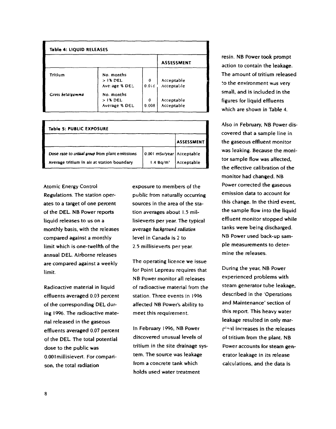| Table 4: LIQUID RELEASES |                                           |                           |                          |
|--------------------------|-------------------------------------------|---------------------------|--------------------------|
|                          |                                           |                           | <b>ASSESSMENT</b>        |
| Tritium                  | No. months<br>$>1%$ DEL.<br>Average % DEL | $\boldsymbol{0}$<br>0.016 | Acceptable<br>Acceptable |
| Gross bela/gamma         | No. months<br>$>1%$ DEL<br>Average % DEL  | Ω<br>0.008                | Acceptable<br>Acceptable |

| <b>Table 5: PUBLIC EXPOSURE</b>                  |                             |            |
|--------------------------------------------------|-----------------------------|------------|
|                                                  |                             | ASSESSMENT |
| Dose rate to critical group from plant emissions | 0.001 mSv/year   Acceptable |            |
| Average tritium in air at station boundary       | 1.4 Bq/m'                   | Acceptable |

Atomic Energy Control Regulations. The station operates to a target of one percent of the DEL. NB Power reports liquid releases to us on a monthly basis, with the releases compared against a monthly limit which is one-twelfth of the annual DEL. Airborne releases are compared against a weekly limit.

Radioactive material in liquid effluents averaged 0.03 percent of the corresponding DEL during 1996. The radioactive material released in the gaseous effluents averaged 0.07 percent of the DEL. The total potential dose to the public was 0.001 millisievert. For comparison, the total radiation

exposure to members of the public from naturally occurring sources in the area of the station averages about 1.5 millisieverts per year. The typical average background radiation level in Canada is 2 to 2.5 millisieverts per year.

The operating licence we issue for Point Lepreau requires that NB Power monitor all releases of radioactive material from the station. Three events in 1996 affected NB Power's ability to meet this requirement.

In February 1996, NB Power discovered unusual levels of tritium in the site drainage system. The source was leakage from a concrete tank which holds used water treatment

resin. NB Power took prompt action to contain the leakage. The amount of tritium released to the environment was very small, and is included in the figures for liquid effluents which are shown in Table 4.

Also in February, NB Power discovered that a sample line in the gaseous effluent monitor was leaking. Because the monitor sample flow was affected, the effective calibration of the monitor had changed. NB Power corrected the gaseous emission data to account for this change. In the third event, the sample flow into the liquid effluent monitor stopped while tanks were being discharged. NB Power used back-up sample measurements to determine the releases.

During the year, NB Power experienced problems with steam generator tube leakage, described in the 'Operations and Maintenance' section of this report. This heavy water leakage resulted in only mar- {"'<sup>n</sup> al increases in the releases of tritium from the plant. NB Power accounts for steam generator leakage in its release calculations, and the data is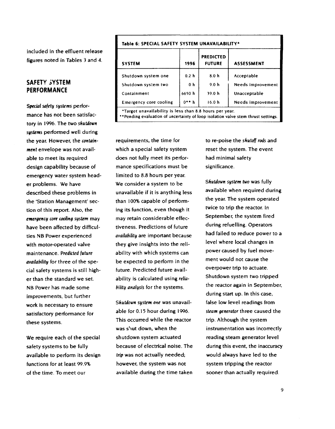included in the effluent release figures noted in Tables 3 and 4.

## **SAFETY** *SYSTEM* **PERFORMANCE**

*Special safety systems* performance has not been satisfactory in 1996. The two *shutdown systems* performed well during **the** year. However, the *containment* envelope was not available to meet its required design capability because of emergency water system header problems. We have described these problems in the 'Station Management' section of this report. Also, the *emergency core cooling system* may have been affected by difficulties NB Power experienced with motor-operated valve maintenance. *Predicted future availability* for three of the special safety systems is still higher than the standard we set. NB Power has made some improvements, but further work is necessary to ensure satisfactory performance for these systems.

We require each of the special safety systems to be fully available to perform its design functions for at least 99.9% of the time. To meet our

#### **Table 6: SPECIAL SAFETY SYSTEM UNAVAILABILITY\* SYSTEM** Shutdown system one Shutdown system two Containment Emergency core cooling **1996** 0.2 h 0 h 6650 h  $0^{\star \star}$  h **PREDICTED FUTURE 8.0 h 9.0 h** 39.0 **h** I6.0 **h ASSESSMENT** Acceptable Needs improvement Unacceptable Needs improvement 'Target unavailability is less than 8.8 hours per year.

"Pending evaluation of uncertainty of loop isolation valve stem thrust settings.

requirements, the time for which a special safety system does not fully meet its performance specifications must be limited to 8.8 hours per year. We consider a system to be unavailable if it is anything less than 100% capable of performing its function, even though it may retain considerable effectiveness. Predictions of future *availability* are important because they give insights into the reliability with which systems can be expected to perform in the future. Predicted future availability is calculated using *reliability analysis* for the systems.

*Shutdown system one* was unavailable for 0.15 hour during 1996. This occurred while the reactor was shut down, when the shutdown system actuated because of electrical noise. The *trip* was not actually needed; however, the system was not available during the time taken to re-poise the *shutoff rods* and reset the system. The event had minimal safety significance.

*Shutdown system two* was fully available when required during the year. The system operated twice to trip the reactor. In September, the system fired during refuelling. Operators had failed to reduce power to a level where local changes in power caused by fuel movement would not cause the overpower trip to actuate. Shutdown system two tripped the reactor again in September, during start up. In this case, false low level readings from *steam generator* three caused the trip. Although the system instrumentation was incorrectly reading steam generator level during this event, the inaccuracy would always have led to the system tripping the reactor sooner than actually required.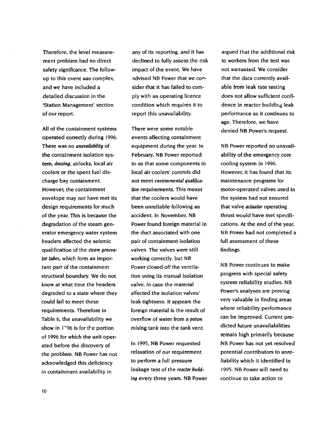Therefore, the level measurement problem had no direct safety significance. The followup to this event was complex, and we have included a detailed discussion in the 'Station Management' section of our report.

All of the containment systems operated correctly during 1996. There was no *unavailability* of **the** containment isolation system, *dousing,* airlocks, local air coolers or the spent fuel discharge bay containment. However, the containment envelope may not have met its design requirements for much of the year. This is because the degradation of the steam generator emergency water system headers affected the seismic qualification of the *steam generator tubes,* which form an important part of the containment structural boundary. We do not know at what time the headers degraded to a state where they could fail to meet these requirements. Therefore in Table 6, the unavailability we show in  $1^{\circ}96$  is for the portion of 1996 for which the unit operated before the discovery of the problem. NB Power has not acknowledged this deficiency in containment availability in

any of its reporting, and it has declined to fully assess the risk impact of the event. We have advised NB Power that we consider that it has failed to comply with an operating licence condition which requires it to report this unavailability.

There were some notable events affecting containment equipment during the year. In February, NB Power reported to us that some components in local air coolers' controls did not meet *environmental qualification* requirements. This meant that the coolers would have been unreliable following an accident. In November, NB Power found foreign material in the duct associated with one pair of containment isolation valves. The valves were still working correctly, but NB Power closed off the ventilation using its manual isolation valve, in case the material affected the isolation valves' leak tightness. It appears the foreign material is the result of overflow of water from a *poison* mixing tank into the tank vent.

In 1995, NB Power requested relaxation of our requirement to perform a full pressure leakage test of the *reactor building* every three years. NB Power

argued that the additional risk to workers from the test was not warranted. We consider that the data currently available from leak rate testing does not allow sufficient confidence in reactor building leak performance as it continues to age. Therefore, we have denied NB Power's request.

NB Power repotted no unavailability of the emergency core cooling system in 1996. However, it has found that its maintenance programs for motor-operated valves used in the system had not ensured that valve *actuator* operating thrust would have met specifications. At the end of the year, NB Power had not completed a full assessment of these findings.

NB Power continues to make progress with special safety system reliability studies. NB Power's analyses are proving very valuable in finding areas where reliability performance can be improved. Current predicted future unavailabilities remain high primarily because NB Power has not yet resolved potential contributors to unreliability which it identified in 1995. NB Power will need to continue to take action to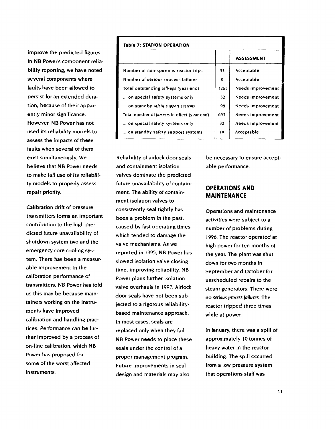improve the predicted figures. In NB Power's component reliability reporting, we have noted several components where faults have been allowed to persist for an extended duration, because of their apparently minor significance. However, NB Power has not used its reliability models to assess the impacts of these faults when several of them exist simultaneously. We believe that NB Power needs to make full use of its reliability models to properly assess repair priority.

Calibration drift of pressure transmitters forms an important contribution to the high predicted future unavailability of shutdown system two and the emergency core cooling system. There has been a measurable improvement in the calibration performance of transmitters. NB Power has told us this may be because maintainers working on the instruments have improved calibration and handling practices. Performance can be further improved by a process of on-line calibration, which NB Power has proposed for some of the worst affected instruments.

| <b>Table 7: STATION OPERATION</b>            |      |                   |
|----------------------------------------------|------|-------------------|
|                                              |      | <b>ASSESSMENT</b> |
| Number of non-spurious reactor trips         | 33   | Acceptable        |
| Number of serious process failures           | 0    | Acceptable        |
| Total outstanding call-ups (year end)        | 1265 | Needs improvement |
| on special safety systems only               | 52   | Needs improvement |
| on standby safely support systems            | 98   | Needs improvement |
| Total number of jumpers in effect (year end) | 697  | Needs improvement |
| on special safety systems only               | 32   | Needs improvement |
| on standby safety support systems            | 10   | Acceptable        |

Reliability of airlock door seals and containment isolation valves dominate the predicted future unavailability of containment. The ability of containment isolation valves to consistently seal tightly has been a problem in the past, caused by fast operating times which tended to damage the valve mechanisms. As we reported in 1995, NB Power has slowed isolation valve closing time, improving reliability. NB Power plans further isolation valve overhauls in 1997. Airlock door seals have not been subjected to a rigorous reliabilitybased maintenance approach. In most cases, seals are replaced only when they fail. NB Power needs to place these seals under the control of a proper management program. Future improvements in seal design and materials may also

be necessary to ensure acceptable performance.

## **OPERATIONS AND MAINTENANCE**

Operations and maintenance activities were subject to a number of problems during 1996. The reactor operated at high power for ten months of the year. The plant was shut down for two months in September and October for unscheduled repairs to the steam generators. There were no serious process failures. The reactor tripped three times while at power.

In January, there was a spill of approximately 10 tonnes of heavy water in the reactor building. The spill occurred from a low pressure system that operations staff was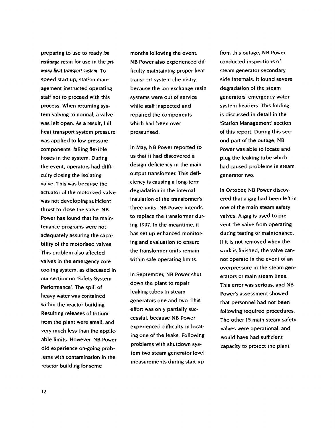preparing to use to ready ion exchange resin for use in the primary heat transport system. To speed start up, station management instructed operating staff not to proceed with this process. When returning system valving to normal, a valve was left open. As a result, full heat transport system pressure was applied to low pressure components, failing flexible hoses in the system. During the event, operators had difficulty closing the isolating valve. This was because the actuator of the motorized valve was not developing sufficient thrust to close the valve. NB Power has found that its maintenance programs were not adequately assuring the capability of the motorised valves. This problem also affected valves in the emergency core cooling system, as discussed in our section on 'Safety System Performance'. The spill of heavy water was contained within the reactor building. Resulting releases of tritium from the plant were small, and very much less than the applicable limits. However, NB Power did experience on-going problems with contamination in the reactor building for some

months following the event. NB Power also experienced difficulty maintaining proper heat transport system chemistry, because the ion exchange resin systems were out of service while staff inspected and repaired the components which had been over pressurised.

In May, NB Power reported to us that it had discovered a design deficiency in the main output transformer. This deficiency is causing a long-term degradation in the internal insulation of the transformer's three units. NB Power intends to replace the transformer during 1997. In the meantime, it has set up enhanced monitoring and evaluation to ensure the transformer units remain within safe operating limits.

In September, NB Power shut down the plant to repair leaking tubes in steam generators one and two. This effort was only partially successful, because NB Power experienced difficulty in locating one of the leaks. Following problems with shutdown system two steam generator level measurements during start up

from this outage, NB Power conducted inspections of steam generator secondary side internals. It found severe degradation of the steam generators' emergency water system headers. This finding is discussed in detail in the 'Station Management' section of this report. During this second part of the outage, NB Power was able to locate and plug the leaking tube which had caused problems in steam generator two.

In October, NB Power discovered that a gag had been left in one of the main steam safety valves. A gag is used to prevent the valve from operating during testing or maintenance. If it is not removed when the work is finished, the valve cannot operate in the event of an overpressure in the steam generators or main steam lines. This error was serious, and NB Power's assessment showed that personnel had not been following required procedures. The other 15 main steam safety valves were operational, and would have had sufficient capacity to protect the plant.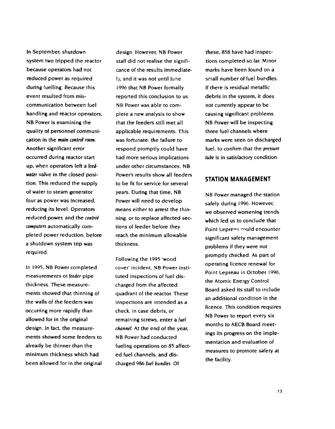In September, shutdown system two tripped the reactor because operators had not reduced power as required during fuelling. Because this event resulted from miscommunication between fuel handling and reactor operators, NB Power is examining the quality of personnel communication in the main control room. Another significant error occurred during reactor start up, when operators left a feedwater valve in the closed position. This reduced the supply of water to steam generator four as power was increased, reducing its level. Operators reduced power, and the control computers automatically completed power reduction, before a shutdown system trip was required.

In 1995, NB Power completed measurements ot feeder pipe thickness. These measurements showed that thinning of the walls of the feeders was occurring more rapidly than allowed for in the original design. In fact, the measurements showed some feeders to already be thinner than the minimum thickness which had been allowed for in the original

design. However, NB Power staff did not realise the significance of the results immediately, and it was not until June 1996 that NB Power formally reported this conclusion to us. NB Power was able to complete a new analysis to show that the feeders still met all applicable requirements. This was fortunate: the failure to respond promptly could have had more serious implications under other circumstances. NB Power's results show all feeders to be fit for service for several years. During that time, NB Power will need to develop means either to arrest the thinning, or to replace affected sections of feeder before they reach the minimum allowable thickness.

Following the 1995 'wood cover' incident, NB Power instituted inspections of fuel discharged from the affected quadrant of the reactor. These inspections are intended as a check, in case debris, or remaining screws, enter a fuel channel. At the end of the year, NB Power had conducted fueling operations on 85 affected fuel channels, and discharged 986 fuel bundles. Of

these, 858 have had inspections completed so far. Minor marks have been found on a small number of fuel bundles. If there is residual metallic debris in the system, it does not currently appear to be causing significant problems. NB Power will be inspecting three fuel channels where marks were seen on discharged fuel, to confirm that the pressure tube is in satisfactory condition.

## **STATION MANAGEMENT**

NB Power managed the station safely during 1996. However, we observed worsening trends which led us to conclude that Point Lepreau could encounter significant safety management problems if they were not promptly checked. As part of operating licence renewal for Point Lepreau in October 1996, the Atomic Energy Control Board asked its staff to include an additional condition in the licence. This condition requires NB Power to report every six months to AECB Board meetings its progress on the implementation and evaluation of measures to promote safety at the facility.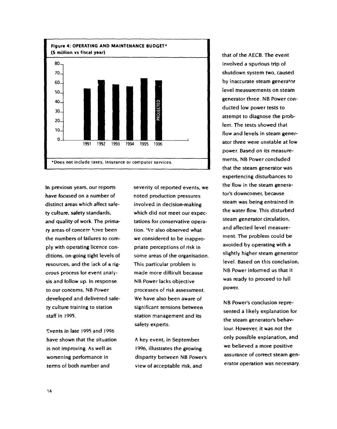

In previous years, our reports have focused on a number of distinct areas which affect safety culture, safety standards, and quality of work. The primary areas of concerr have been the numbers of failures to comply with operating licence conditions, on-going tight levels of resources, and the lack of a rigorous process for event analysis and follow up. In response to our concerns, NB Power developed and delivered safety culture training to station staff in 1995.

Events in late 1995 and 1996 have shown that the situation is not improving. As well as worsening performance in terms of both number and

severity of reported events, we noted production pressures involved in decision-making which did not meet our expectations for conservative operation. We also observed what we considered to be inappropriate perceptions of risk in some areas of the organisation. This particular problem is made more difficult because NB Power lacks objective processes of risk assessment. We have also been aware of significant tensions between station management and its safety experts.

A key event, in September 1996, illustrates the growing disparity between NB Power's view of acceptable risk, and

that of the AECB. The event involved a spurious trip of shutdown system two, caused by inaccurate steam generator level measurements on steam generator three. NB Power conducted low power tests to attempt to diagnose the problem. The tests showed that flow and levels in steam generator three were unstable at low power. Based on its measurements, NB Power concluded that the steam generator was experiencing disturbances to the flow in the steam generator's downcomer, because steam was being entrained in the water flow. This disturbed steam generator circulation, and affected level measurement. The problem could be avoided by operating with a slightly higher steam generator level. Based on this conclusion, NB Power informed us that it was ready to proceed to full power.

NB Power's conclusion represented a likely explanation for the steam generator's behaviour. However, it was not the only possible explanation, and we believed a more positive assurance of correct steam generator operation was necessary.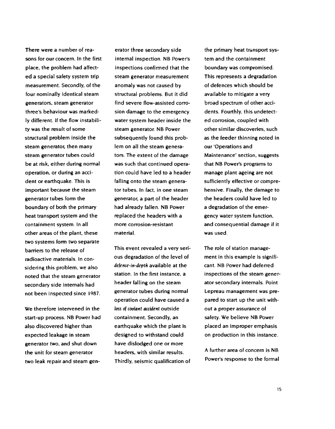There were a number of reasons for our concern. In the first place, the problem had affected a special safety system trip measurement. Secondly, of the four nominally identical steam generators, steam generator three's behaviour was markedly different. If the flow instability was the result of some structural problem inside the steam generator, then many steam generator tubes could be at risk, either during normal operation, or during an accident or earthquake. This is important because the steam generator tubes form the boundary of both the primary heat transport system and the containment system. In all other areas of the plant, these two systems form two separate barriers to the release of radioactive materials. In considering this problem, we also noted that the steam generator secondary side internals had not been inspected since 1987.

We therefore intervened in the start-up process. NB Power had also discovered higher than expected leakage in steam generator two, and shut down the unit for steam generator two leak repair and steam gen-

erator three secondary side internal inspection. NB Power's inspections confirmed that the steam generator measurement anomaly was not caused by structural problems. But it did find severe flow-assisted corrosion damage to the emergency water system header inside the steam generator. NB Power subsequently found this problem on all the steam generators. The extent of the damage was such that continued operation could have led to a header falling onto the steam generator tubes. In fact, in one steam generator, a part of the header had already fallen. NB Power replaced the headers with a more corrosion-resistant material.

This event revealed a very serious degradation of the level of defence-in-depth available at the station. In the first instance, a header falling on the steam generator tubes during normal operation could have caused a loss of coolant accident outside containment. Secondly, an earthquake which the plant is designed to withstand could have dislodged one or more headers, with similar results. Thirdly, seismic qualification of the primary heat transport system and the containment boundary was compromised. This represents a degradation of defences which should be available to mitigate a very broad spectrum of other accidents. Fourthly, this undetected corrosion, coupled with other similar discoveries, such as the feeder thinning noted in our 'Operations and Maintenance' section, suggests that NB Power's programs to manage plant ageing are not sufficiently effective or comprehensive. Finally, the damage to the headers could have led to a degradation of the emergency water system function, and consequential damage if it was used.

The role of station management in this example is significant. NB Power had deferred inspections of the steam generator secondary internals. Point Lepreau management was prepared to start up the unit without a proper assurance of safety. We believe NB Power placed an improper emphasis on production in this instance.

A further area of concern is NB Power's response to the formal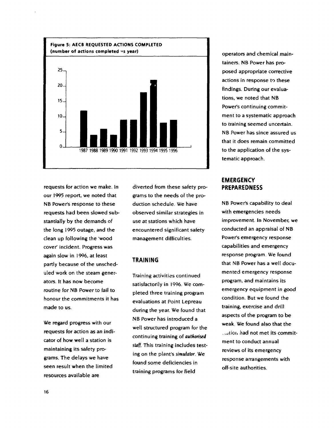

requests for action we make. In our 1995 report, we noted that NB Power's response to these requests had been slowed substantially by the demands of the long 1995 outage, and the clean up following the 'wood cover' incident. Progress was again slow in 1996, at least partly because of the unscheduled work on the steam generators. It has now become routine for NB Power to fail to honour the commitments it has made to us.

We regard progress with our requests for action as an indicator of how well a station is maintaining its safety programs. The delays we have seen result when the limited resources available are

diverted from these safety programs to the needs of the production schedule. We have observed similar strategies in use at stations which have encountered significant safety management difficulties.

## **TRAINING**

Training activities continued satisfactorily in 1996. We completed three training program evaluations at Point Lepreau during the year. We found that NB Power has introduced a well structured program for the continuing training of authorised staff. This training includes testing on the plant's simulator. We found some deficiencies in training programs for field

operators and chemical maintainers. NB Power has proposed appropriate corrective actions in response to these findings. During our evaluations, we noted that NB Power's continuing commitment to a systematic approach to training seemed uncertain. NB Power has since assured us that it does remain committed to the application of the systematic approach.

### **EMERGENCY PREPAREDNESS**

NB Power's capability to deal with emergencies needs improvement. In November, we conducted an appraisal of NB Power's emergency response capabilities and emergency response program. We found that NB Power has a well documented emergency response program, and maintains its emergency equipment in good condition. But we found the training, exercise and drill aspects of the program to be weak. We found also that the ...tion had not met its commitment to conduct annual reviews of its emergency response arrangements with off-site authorities.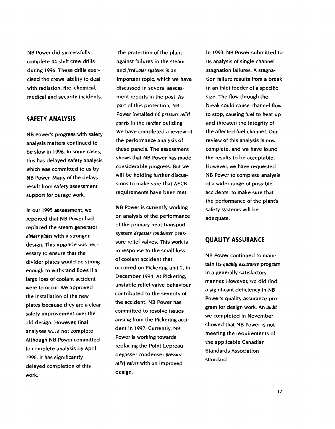NB Power did successfully complete 44 shift crew drills during 1996. These drills exercised the crews' ability to deal with radiation, fire, chemical, medical and security incidents.

### **SAFETY ANALYSIS**

NB Power's progress with safety analysis matters continued to be slow in 1996. In some cases, this has delayed safety analysis which was committed to us by NB Power. Many of the delays result from safety assessment support for outage work.

In our 1995 assessment, we reported that NB Power had replaced the steam generator divider plates with a stronger design. This upgrade was necessary to ensure that the divider plates would be strong enough to withstand flows if a large loss of coolant accident were to occur. We approved the installation of the new plates because they are a clear safety improvement over the old design. However, final analyses w\_.e not complete. Although NB Power committed to complete analysis by April 1996, it has significantly delayed completion of this work.

The protection of the plant against failures in the steam and feedwater sustems is an important topic, which we have discussed in several assessment reports in the past. As part of this protection, NB Power installed 66 pressure relief panels in the turbine building. We have completed a review of the performance analysis of these panels. The assessment shows that NB Power has made considerable progress. But we will be holding further discussions to make sure that AECB requirements have been met.

NB Power is currently working on analysis of the performance of the primary heat transport system degasser condenser pressure relief valves. This work is in response to the small loss of coolant accident that occurred on Pickering unit 2, in December 1994. At Pickering, unstable relief valve behaviour contributed to the severity of the accident. NB Power has committed to resolve issues arising from the Pickering accident in 1997. Currently, NB Power is working towards replacing the Point Lepreau degasser condenser pressure relief valves with an improved design.

In 1993, NB Power submitted to us analysis of single channel stagnation failures. A stagnation failure results from a break in an inlet feeder of a specific size. The flow through the break could cause channel flow to stop, causing fuel to heat up and threaten the integrity of the affected fuel channel. Our review of this analysis is now complete, and we have found the results to be acceptable. However, we have requested NB Power to complete analysis of a wider range of possible accidents, to make sure that the performance of the plant's safety systems will be adequate.

## **QUALITY ASSURANCE**

NB Power continued to maintain its quality assurance program in a generally satisfactory manner. However, we did find a significant deficiency in NB Power's quality assurance program for design work. An audit we completed in November showed that NB Power is not meeting the requirements of the applicable Canadian Standards Association standard.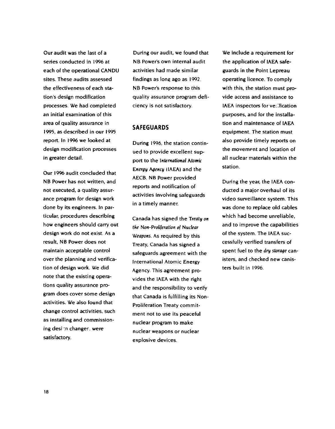Our audit was the last of a series conducted in 1996 at each of the operational CANDU sites. These audits assessed the effectiveness of each station's design modification processes. We had completed an initial examination of this area of quality assurance in 1995, as described in our 1995 report. In 1996 we looked at design modification processes in greater detail.

Our 1996 audit concluded that NB Power has not written, and not executed, a quality assurance program for design work done by its engineers. In particular, procedures describing how engineers should carry out design work do not exist. As a result, NB Power does not maintain acceptable control over the planning and verification of design work. We did note that the existing operations quality assurance program does cover some design activities. We also found that change control activities, such as installing and commissioning desi :n changer, were satisfactory.

During our audit, we found that NB Power's own internal audit activities had made similar findings as long ago as 1992 NB Power's response to this quality assurance program deficiency is not satisfactory.

### **SAFEGUARDS**

During 1996, the station continued to provide excellent support to the International Atomic Energy Agency (IAEA) and the AECB. NB Power provided reports and notification of activities involving safeguards in a timely manner.

Canada has signed the Treaty on the Non-Proliferation of Nuclear Weapons. As required by this Treaty, Canada has signed a safeguards agreement with the International Atomic Energy Agency. This agreement provides the IAEA with the right and the responsibility to verify that Canada is fulfilling its Non-Proliferation Treaty commitment not to use its peaceful nuclear program to make nuclear weapons or nuclear explosive devices.

We include a requirement for the application of IAEA safeguards in the Point Lepreau operating licence. To comply with this, the station must provide access and assistance to IAEA inspectors for ve:!fication purposes, and for the installation and maintenance of IAEA equipment. The station must also provide timely reports on the movement and location of all nuclear materials within the station.

During the year, the IAEA conducted a major overhaul of its video surveillance system. This was done to replace old cables which had become unreliable, and to improve the capabilities of the system. The IAEA successfully verified transfers of spent fuel to the dry storage canisters, and checked new canisters built in 1996.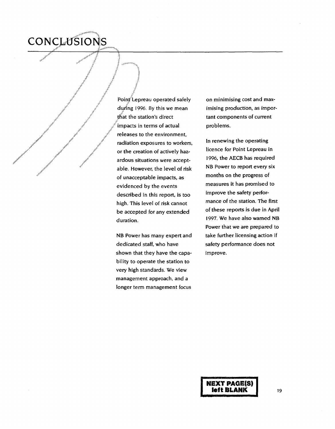## CONCLUSIONS

.... $e^{\mu \omega}$ "-—••-••:•,.

**.! ...,..",**

!

Point Lepreau operated safely during 1996. By this we mean that the station's direct impacts in terms of actual releases to the environment, radiation exposures to workers, or the creation of actively hazardous situations were acceptable. However, the level of risk of unacceptable impacts, as evidenced by the events described in this report, is too high. This level of risk cannot be accepted for any extended duration.

NB Power has many expert and dedicated staff, who have shown that they have the capability to operate the station to very high standards. We view management approach, and a longer term management focus

on minimising cost and maximising production, as important components of current problems.

In renewing the operating licence for Point Lepreau in 1996, the AECB has required NB Power to report every six months on the progress of measures it has promised to improve the safety performance of the station. The first of these reports is due in April 1997. We have also warned NB Power that we are prepared to take further licensing action if safety performance does not improve.

**NEXT PAGE(S) teft BLANK | 19**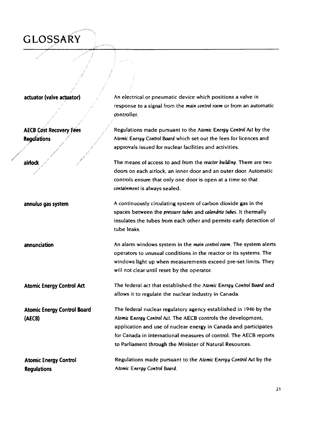## **GLOSSARY**

**actuator (valve actuator)**

**AECB Cost Recovery Fees Regulations**

**airlock**

**annulus gas system**

**annunciation**

**Atomic Energy Control Act**

**Atomic Energy Control Board (AECB)**

**Atomic Energy Control Regulations**

An electrical or pneumatic device which positions a valve in response to a signal from the *main control room* or from an automatic controller.

Regulations made pursuant to the Atomic *Energy Control* Art by the Atomic *Energy Control Board* which set out the fees for licences and approvals issued for nuclear facilities and activities.

The means of access to and from the *reactor building.* There are two doors on each airlock, an inner door and an outer door. Automatic controls ensure that only one door is open at a time so that *containment* is always sealed.

A continuously circulating system of carbon dioxide gas in the spaces between the *pressure tubes* and *calandria tubes.* It thermally insulates the tubes from each other and permits early detection of tube leaks.

An alarm windows system in the *main control room.* The system alerts operators to unusual conditions in the reactor or its systems. The windows light up when measurements exceed pre-set limits. They will not clear until reset by the operator.

The federal act that established the Atomic *Energy Control Board* and allows it to regulate the nuclear industry in Canada.

The federal nuclear regulatory agency established in 1946 by the Atomic *Energy Control* Act. The AECB controls the development, application and use of nuclear energy in Canada and participates for Canada in international measures of control. The AECB reports to Parliament through the Minister of Natural Resources.

Regulations made pursuant to the Atomic *Energy Control* Act by the Atomic *Energy Control Board.*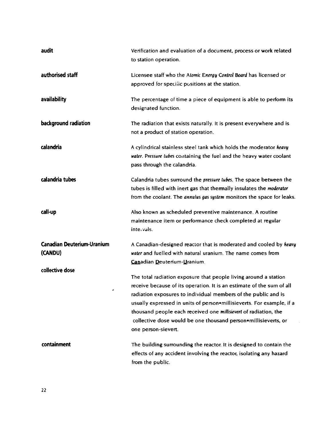| audit                                        | Verification and evaluation of a document, process or work related<br>to station operation.                                                                                                                                                                                                                                                                                                                                                       |
|----------------------------------------------|---------------------------------------------------------------------------------------------------------------------------------------------------------------------------------------------------------------------------------------------------------------------------------------------------------------------------------------------------------------------------------------------------------------------------------------------------|
| authorised staff                             | Licensee staff who the Atomic Energy Control Board has licensed or<br>approved for specific positions at the station.                                                                                                                                                                                                                                                                                                                             |
| availability                                 | The percentage of time a piece of equipment is able to perform its<br>designated function.                                                                                                                                                                                                                                                                                                                                                        |
| background radiation                         | The radiation that exists naturally. It is present everywhere and is<br>not a product of station operation.                                                                                                                                                                                                                                                                                                                                       |
| calandria                                    | A cylindrical stainless steel tank which holds the moderator heavy<br>water. Pressure tubes containing the fuel and the heavy water coolant<br>pass through the calandria.                                                                                                                                                                                                                                                                        |
| calandria tubes                              | Calandria tubes surround the pressure tubes. The space between the<br>tubes is filled with inert gas that thermally insulates the moderator<br>from the coolant. The annulus gas system monitors the space for leaks.                                                                                                                                                                                                                             |
| call-up                                      | Also known as scheduled preventive maintenance. A routine<br>maintenance item or performance check completed at regular<br>intervals.                                                                                                                                                                                                                                                                                                             |
| <b>Canadian Deuterium-Uranium</b><br>(CANDU) | A Canadian-designed reactor that is moderated and cooled by heavy<br>water and fuelled with natural uranium. The name comes from<br>Canadian Deuterium-Uranium.                                                                                                                                                                                                                                                                                   |
| collective dose<br>٠                         | The total radiation exposure that people living around a station<br>receive because of its operation. It is an estimate of the sum of all<br>radiation exposures to individual members of the public and is<br>usually expressed in units of person•millisieverts. For example, if a<br>thousand people each received one millisievert of radiation, the<br>collective dose would be one thousand person•millisieverts, or<br>one person-sievert. |
| containment                                  | The building surrounding the reactor. It is designed to contain the<br>effects of any accident involving the reactor, isolating any hazard<br>from the public.                                                                                                                                                                                                                                                                                    |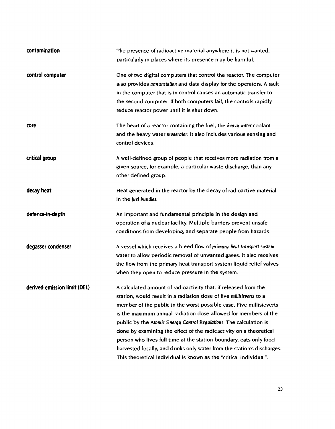| contamination                | The presence of radioactive material anywhere it is not wanted,                                                                                                                                                                                                                                                                                                                                                                                                                                                                                                                                                                                       |
|------------------------------|-------------------------------------------------------------------------------------------------------------------------------------------------------------------------------------------------------------------------------------------------------------------------------------------------------------------------------------------------------------------------------------------------------------------------------------------------------------------------------------------------------------------------------------------------------------------------------------------------------------------------------------------------------|
|                              | particularly in places where its presence may be harmful.                                                                                                                                                                                                                                                                                                                                                                                                                                                                                                                                                                                             |
| control computer             | One of two digital computers that control the reactor. The computer<br>also provides annunciation and data display for the operators. A fault<br>in the computer that is in control causes an automatic transfer to<br>the second computer. If both computers fail, the controls rapidly<br>reduce reactor power until it is shut down.                                                                                                                                                                                                                                                                                                               |
| core                         | The heart of a reactor containing the fuel, the heavy water coolant<br>and the heavy water moderator. It also includes various sensing and<br>control devices.                                                                                                                                                                                                                                                                                                                                                                                                                                                                                        |
| critical group               | A well-defined group of people that receives more radiation from a<br>given source, for example, a particular waste discharge, than any<br>other defined group.                                                                                                                                                                                                                                                                                                                                                                                                                                                                                       |
| decay heat                   | Heat generated in the reactor by the decay of radioactive material<br>in the fuel bundles.                                                                                                                                                                                                                                                                                                                                                                                                                                                                                                                                                            |
| defence-in-depth             | An important and fundamental principle in the design and<br>operation of a nuclear facility. Multiple barriers prevent unsafe<br>conditions from developing, and separate people from hazards.                                                                                                                                                                                                                                                                                                                                                                                                                                                        |
| degasser condenser           | A vessel which receives a bleed flow of primary heat transport system<br>water to allow periodic removal of unwanted gases. It also receives<br>the flow from the primary heat transport system liquid relief valves<br>when they open to reduce pressure in the system.                                                                                                                                                                                                                                                                                                                                                                              |
| derived emission limit (DEL) | A calculated amount of radioactivity that, if released from the<br>station, would result in a radiation dose of five millisieverts to a<br>member of the public in the worst possible case. Five millisieverts<br>is the maximum annual radiation dose allowed for members of the<br>public by the Atomic Energy Control Regulations. The calculation is<br>done by examining the effect of the radicactivity on a theoretical<br>person who lives full time at the station boundary, eats only food<br>harvested locally, and drinks only water from the station's discharges.<br>This theoretical individual is known as the "critical individual". |

 $\label{eq:2} \mathcal{L} = \mathcal{L} \left( \mathcal{L} \right) \left( \mathcal{L} \right) \left( \mathcal{L} \right)$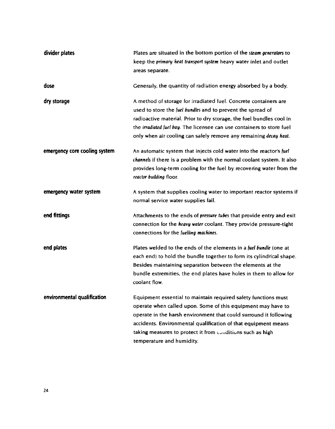| divider plates                | Plates are situated in the bottom portion of the steam generators to<br>keep the primary heat transport system heavy water inlet and outlet<br>areas separate.                                                                                                                                                                                                   |
|-------------------------------|------------------------------------------------------------------------------------------------------------------------------------------------------------------------------------------------------------------------------------------------------------------------------------------------------------------------------------------------------------------|
| dose                          | Generally, the quantity of radiation energy absorbed by a body.                                                                                                                                                                                                                                                                                                  |
| dry storage                   | A method of storage for irradiated fuel. Concrete containers are<br>used to store the fuel bundles and to prevent the spread of<br>radioactive material. Prior to dry storage, the fuel bundles cool in<br>the irradiated fuel bay. The licensee can use containers to store fuel<br>only when air cooling can safely remove any remaining decay heat.           |
| emergency core cooling system | An automatic system that injects cold water into the reactor's fuel<br>channels if there is a problem with the normal coolant system. It also<br>provides long-term cooling for the fuel by recovering water from the<br>reactor building floor.                                                                                                                 |
| emergency water system        | A system that supplies cooling water to important reactor systems if<br>normal service water supplies fail.                                                                                                                                                                                                                                                      |
| end fittings                  | Attachments to the ends of pressure tubes that provide entry and exit<br>connection for the heavy water coolant. They provide pressure-tight<br>connections for the fuelling machines.                                                                                                                                                                           |
| end plates                    | Plates welded to the ends of the elements in a fuel bundle (one at<br>each end) to hold the bundle together to form its cylindrical shape.<br>Besides maintaining separation between the elements at the<br>bundle extremities, the end plates have holes in them to allow for<br>coolant flow.                                                                  |
| environmental qualification   | Equipment essential to maintain required safety functions must<br>operate when called upon. Some of this equipment may have to<br>operate in the harsh environment that could surround it following<br>accidents. Environmental qualification of that equipment means<br>taking measures to protect it from conditions such as high<br>temperature and humidity. |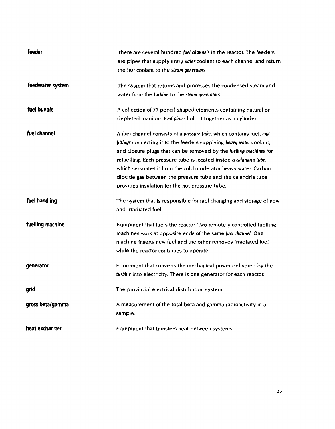| feeder           | There are several hundred fuel channels in the reactor. The feeders<br>are pipes that supply heavy water coolant to each channel and return<br>the hot coolant to the steam generators.                                                                                                                                                                                                                                                                                      |
|------------------|------------------------------------------------------------------------------------------------------------------------------------------------------------------------------------------------------------------------------------------------------------------------------------------------------------------------------------------------------------------------------------------------------------------------------------------------------------------------------|
| feedwater system | The system that returns and processes the condensed steam and<br>water from the turbine to the steam generators.                                                                                                                                                                                                                                                                                                                                                             |
| fuel bundle      | A collection of 37 pencil-shaped elements containing natural or<br>depleted uranium. End plates hold it together as a cylinder.                                                                                                                                                                                                                                                                                                                                              |
| fuel channel     | A fuel channel consists of a pressure tube, which contains fuel, end<br>fittings connecting it to the feeders supplying heavy water coolant,<br>and closure plugs that can be removed by the fuelling machines for<br>refuelling. Each pressure tube is located inside a calandria tube,<br>which separates it from the cold moderator heavy water. Carbon<br>dioxide gas between the pressure tube and the calandria tube<br>provides insulation for the hot pressure tube. |
| fuel handling    | The system that is responsible for fuel changing and storage of new<br>and irradiated fuel.                                                                                                                                                                                                                                                                                                                                                                                  |
| fuelling machine | Equipment that fuels the reactor. Two remotely controlled fuelling<br>machines work at opposite ends of the same fuel channel. One<br>machine inserts new fuel and the other removes irradiated fuel<br>while the reactor continues to operate.                                                                                                                                                                                                                              |
| generator        | Equipment that converts the mechanical power delivered by the<br>turbine into electricity. There is one generator for each reactor.                                                                                                                                                                                                                                                                                                                                          |
| grid             | The provincial electrical distribution system.                                                                                                                                                                                                                                                                                                                                                                                                                               |
| gross beta/gamma | A measurement of the total beta and gamma radioactivity in a<br>sample.                                                                                                                                                                                                                                                                                                                                                                                                      |
| heat exchar zer  | Equipment that transfers heat between systems.                                                                                                                                                                                                                                                                                                                                                                                                                               |

 $\mathcal{L}^{\text{max}}_{\text{max}}$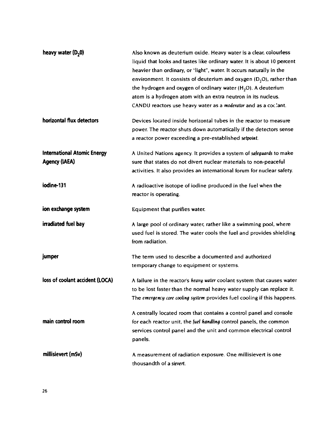| heavy water $(D20)$                                 | Also known as deuterium oxide. Heavy water is a clear, colourless<br>liquid that looks and tastes like ordinary water. It is about 10 percent<br>heavier than ordinary, or "light", water. It occurs naturally in the<br>environment. It consists of deuterium and oxygen $(D_2O)$ , rather than<br>the hydrogen and oxygen of ordinary water $(H2O)$ . A deuterium<br>atom is a hydrogen atom with an extra neutron in its nucleus.<br>CANDU reactors use heavy water as a moderator and as a coclant. |
|-----------------------------------------------------|---------------------------------------------------------------------------------------------------------------------------------------------------------------------------------------------------------------------------------------------------------------------------------------------------------------------------------------------------------------------------------------------------------------------------------------------------------------------------------------------------------|
| horizontal flux detectors                           | Devices located inside horizontal tubes in the reactor to measure<br>power. The reactor shuts down automatically if the detectors sense<br>a reactor power exceeding a pre-established setpoint.                                                                                                                                                                                                                                                                                                        |
| <b>International Atomic Energy</b><br>Agency (IAEA) | A United Nations agency. It provides a system of safeguards to make<br>sure that states do not divert nuclear materials to non-peaceful<br>activities. It also provides an international forum for nuclear safety.                                                                                                                                                                                                                                                                                      |
| iodine-131                                          | A radioactive isotope of iodine produced in the fuel when the<br>reactor is operating.                                                                                                                                                                                                                                                                                                                                                                                                                  |
| ion exchange system                                 | Equipment that purifies water.                                                                                                                                                                                                                                                                                                                                                                                                                                                                          |
| irradiated fuel bay                                 | A large pool of ordinary water, rather like a swimming pool, where<br>used fuel is stored. The water cools the fuel and provides shielding<br>from radiation.                                                                                                                                                                                                                                                                                                                                           |
| jumper                                              | The term used to describe a documented and authorized<br>temporary change to equipment or systems.                                                                                                                                                                                                                                                                                                                                                                                                      |
| loss of coolant accident (LOCA)                     | A failure in the reactor's heavy water coolant system that causes water<br>to be lost faster than the normal heavy water supply can replace it.<br>The emergency core cooling system provides fuel cooling if this happens.                                                                                                                                                                                                                                                                             |
| main control room                                   | A centrally located room that contains a control panel and console<br>for each reactor unit, the fuel handling control panels, the common<br>services control panel and the unit and common electrical control<br>panels.                                                                                                                                                                                                                                                                               |
| millisievert (mSv)                                  | A measurement of radiation exposure. One millisievert is one<br>thousandth of a sievert.                                                                                                                                                                                                                                                                                                                                                                                                                |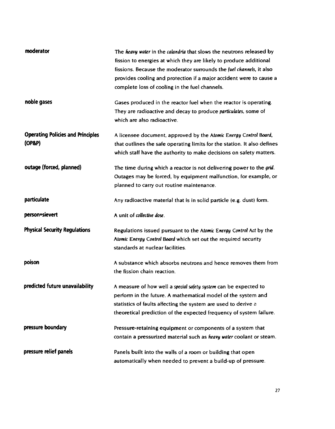| moderator                                          | The heavy water in the calandria that slows the neutrons released by<br>fission to energies at which they are likely to produce additional<br>fissions. Because the moderator surrounds the fuel channels, it also<br>provides cooling and protection if a major accident were to cause a<br>complete loss of cooling in the fuel channels. |
|----------------------------------------------------|---------------------------------------------------------------------------------------------------------------------------------------------------------------------------------------------------------------------------------------------------------------------------------------------------------------------------------------------|
| noble gases                                        | Gases produced in the reactor fuel when the reactor is operating.<br>They are radioactive and decay to produce particulates, some of<br>which are also radioactive.                                                                                                                                                                         |
| <b>Operating Policies and Principles</b><br>(OP&P) | A licensee document, approved by the Atomic Energy Control Board,<br>that outlines the safe operating limits for the station. It also defines<br>which staff have the authority to make decisions on safety matters.                                                                                                                        |
| outage (forced, planned)                           | The time during which a reactor is not delivering power to the grid.<br>Outages may be forced, by equipment malfunction, for example, or<br>planned to carry out routine maintenance.                                                                                                                                                       |
| particulate                                        | Any radioactive material that is in solid particle (e.g. dust) form.                                                                                                                                                                                                                                                                        |
| person•sievert                                     | A unit of collective dose.                                                                                                                                                                                                                                                                                                                  |
| <b>Physical Security Regulations</b>               | Regulations issued pursuant to the Atomic Energy Control Act by the<br>Atomic Energy Control Board which set out the required security<br>standards at nuclear facilities.                                                                                                                                                                  |
| poison                                             | A substance which absorbs neutrons and hence removes them from<br>the fission chain reaction.                                                                                                                                                                                                                                               |
| predicted future unavailability                    | A measure of how well a special safety system can be expected to<br>perform in the future. A mathematical model of the system and<br>statistics of faults affecting the system are used to derive a<br>theoretical prediction of the expected frequency of system failure.                                                                  |
| pressure boundary                                  | Pressure-retaining equipment or components of a system that<br>contain a pressurized material such as heavy water coolant or steam.                                                                                                                                                                                                         |
| pressure relief panels                             | Panels built into the walls of a room or building that open<br>automatically when needed to prevent a build-up of pressure.                                                                                                                                                                                                                 |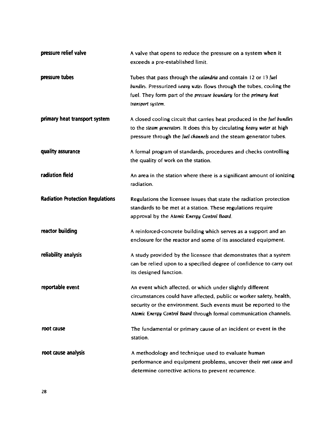| pressure relief valve                   | A valve that opens to reduce the pressure on a system when it<br>exceeds a pre-established limit.                                                                                                                                                                           |
|-----------------------------------------|-----------------------------------------------------------------------------------------------------------------------------------------------------------------------------------------------------------------------------------------------------------------------------|
| pressure tubes                          | Tubes that pass through the calandria and contain 12 or 13 fuel<br>bundles. Pressurized heavy water flows through the tubes, cooling the<br>fuel. They form part of the pressure boundary for the primary heat<br>transport system.                                         |
| primary heat transport system           | A closed cooling circuit that carries heat produced in the fuel bundles<br>to the steam generators. It does this by circulating heavy water at high<br>pressure through the fuel channels and the steam generator tubes.                                                    |
| quality assurance                       | A formal program of standards, procedures and checks controlling<br>the quality of work on the station.                                                                                                                                                                     |
| radiation field                         | An area in the station where there is a significant amount of ionizing<br>radiation.                                                                                                                                                                                        |
| <b>Radiation Protection Regulations</b> | Regulations the licensee issues that state the radiation protection<br>standards to be met at a station. These regulations require<br>approval by the Atomic Energy Control Board.                                                                                          |
| reactor building                        | A reinforced-concrete building which serves as a support and an<br>enclosure for the reactor and some of its associated equipment.                                                                                                                                          |
| reliability analysis                    | A study provided by the licensee that demonstrates that a system<br>can be relied upon to a specified degree of confidence to carry out<br>its designed function.                                                                                                           |
| reportable event                        | An event which affected, or which under slightly different<br>circumstances could have affected, public or worker safety, health,<br>security or the environment. Such events must be reported to the<br>Atomic Energy Control Board through formal communication channels. |
| root cause                              | The fundamental or primary cause of an incident or event in the<br>station.                                                                                                                                                                                                 |
| root cause analysis                     | A methodology and technique used to evaluate human<br>performance and equipment problems, uncover their root cause and<br>determine corrective actions to prevent recurrence.                                                                                               |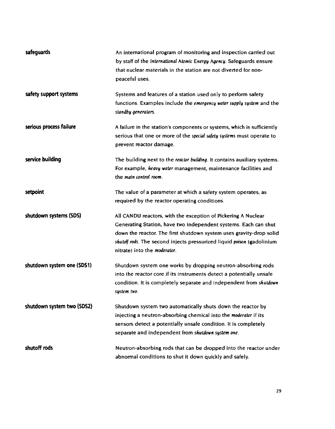| safeguards                 | An international program of monitoring and inspection carried out<br>by staff of the International Atomic Energy Agency. Safeguards ensure<br>that nuclear materials in the station are not diverted for non-<br>peaceful uses.                                                                                           |
|----------------------------|---------------------------------------------------------------------------------------------------------------------------------------------------------------------------------------------------------------------------------------------------------------------------------------------------------------------------|
| safety support systems     | Systems and features of a station used only to perform safety<br>functions. Examples include the emergency water supply system and the<br>standby generators.                                                                                                                                                             |
| serious process failure    | A failure in the station's components or systems, which is sufficiently<br>serious that one or more of the special safety systems must operate to<br>prevent reactor damage.                                                                                                                                              |
| service building           | The building next to the reactor building. It contains auxiliary systems.<br>For example, heavy water management, maintenance facilities and<br>the main control room.                                                                                                                                                    |
| setpoint                   | The value of a parameter at which a safety system operates, as<br>required by the reactor operating conditions.                                                                                                                                                                                                           |
| shutdown systems (SDS)     | All CANDU reactors, with the exception of Pickering A Nuclear<br>Generating Station, have two independent systems. Each can shut<br>down the reactor. The first shutdown system uses gravity-drop solid<br>shutoff rods. The second injects pressurized liquid poison (gadolinium<br>nitrate) into the <i>moderator</i> . |
| shutdown system one (SDS1) | Shutdown system one works by dropping neutron-absorbing rods<br>into the reactor core if its instruments detect a potentially unsafe<br>condition. It is completely separate and independent from shutdown<br>sustem two.                                                                                                 |
| shutdown system two (SDS2) | Shutdown system two automatically shuts down the reactor by<br>injecting a neutron-absorbing chemical into the <i>moderator</i> if its<br>sensors detect a potentially unsafe condition. It is completely<br>separate and independent from shutdown system one.                                                           |
| shutoff rods               | Neutron-absorbing rods that can be dropped into the reactor under<br>abnormal conditions to shut it down quickly and safely.                                                                                                                                                                                              |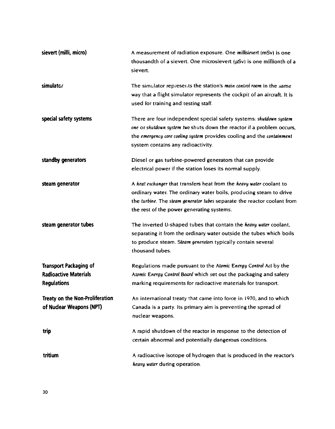| sievert (milli, micro)          | A measurement of radiation exposure. One millisievert (mSv) is one<br>thousandth of a sievert. One microsievert $(\mu S v)$ is one millionth of a<br>sievert.                                                                                                       |
|---------------------------------|---------------------------------------------------------------------------------------------------------------------------------------------------------------------------------------------------------------------------------------------------------------------|
| simulator                       | The simulator represents the station's main control room in the same<br>way that a flight simulator represents the cockpit of an aircraft. It is<br>used for training and testing staff.                                                                            |
| special safety systems          | There are four independent special safety systems: shutdown system<br>one or shutdown system two shuts down the reactor if a problem occurs,<br>the emergency core cooling system provides cooling and the containment<br>system contains any radioactivity.        |
| standby generators              | Diesel or gas turbine-powered generators that can provide<br>electrical power if the station loses its normal supply.                                                                                                                                               |
| steam generator                 | A heat exchanger that transfers heat from the heavy water coolant to<br>ordinary water. The ordinary water boils, producing steam to drive<br>the turbine. The steam generator tubes separate the reactor coolant from<br>the rest of the power generating systems. |
| steam generator tubes           | The inverted U-shaped tubes that contain the heavy water coolant,<br>separating it from the ordinary water outside the tubes which boils<br>to produce steam. Steam generators typically contain several<br>thousand tubes.                                         |
| <b>Transport Packaging of</b>   | Regulations made pursuant to the Atomic Energy Control Act by the                                                                                                                                                                                                   |
| <b>Radioactive Materials</b>    | Atomic Energy Control Board which set out the packaging and safety                                                                                                                                                                                                  |
| <b>Regulations</b>              | marking requirements for radioactive materials for transport.                                                                                                                                                                                                       |
| Treaty on the Non-Proliferation | An international treaty that came into force in 1970, and to which                                                                                                                                                                                                  |
| of Nuclear Weapons (NPT)        | Canada is a party. Its primary aim is preventing the spread of<br>nuclear weapons.                                                                                                                                                                                  |
| trip                            | A rapid shutdown of the reactor in response to the detection of<br>certain abnormal and potentially dangerous conditions.                                                                                                                                           |
| tritium                         | A radioactive isotope of hydrogen that is produced in the reactor's<br>heavy water during operation.                                                                                                                                                                |